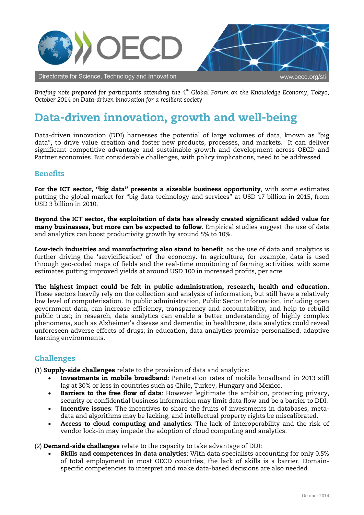

*Briefing note prepared for participants attending the 4th Global Forum on the Knowledge Economy, Tokyo, October 2014 on Data-driven innovation for a resilient society*

## Data-driven innovation, growth and well-being

Data-driven innovation (DDI) harnesses the potential of large volumes of data, known as "big data", to drive value creation and foster new products, processes, and markets. It can deliver significant competitive advantage and sustainable growth and development across OECD and Partner economies. But considerable challenges, with policy implications, need to be addressed.

## **Benefits**

For the ICT sector, "big data" presents a sizeable business opportunity, with some estimates putting the global market for "big data technology and services" at USD 17 billion in 2015, from USD 3 billion in 2010.

Beyond the ICT sector, the exploitation of data has already created significant added value for many businesses, but more can be expected to follow. Empirical studies suggest the use of data and analytics can boost productivity growth by around 5% to 10%.

Low-tech industries and manufacturing also stand to benefit, as the use of data and analytics is further driving the 'servicification' of the economy. In agriculture, for example, data is used through geo-coded maps of fields and the real-time monitoring of farming activities, with some estimates putting improved yields at around USD 100 in increased profits, per acre.

The highest impact could be felt in public administration, research, health and education. These sectors heavily rely on the collection and analysis of information, but still have a relatively low level of computerisation. In public administration, Public Sector Information, including open government data, can increase efficiency, transparency and accountability, and help to rebuild public trust; in research, data analytics can enable a better understanding of highly complex phenomena, such as Alzheimer's disease and dementia; in healthcare, data analytics could reveal unforeseen adverse effects of drugs; in education, data analytics promise personalised, adaptive learning environments.

## Challenges

(1) Supply-side challenges relate to the provision of data and analytics:

- Investments in mobile broadband: Penetration rates of mobile broadband in 2013 still lag at 30% or less in countries such as Chile, Turkey, Hungary and Mexico.
- **Barriers to the free flow of data:** However legitimate the ambition, protecting privacy, security or confidential business information may limit data flow and be a barrier to DDI.
- Incentive issues: The incentives to share the fruits of investments in databases, metadata and algorithms may be lacking, and intellectual property rights be miscalibrated.
- Access to cloud computing and analytics: The lack of interoperability and the risk of vendor lock-in may impede the adoption of cloud computing and analytics.

(2) Demand-side challenges relate to the capacity to take advantage of DDI:

Skills and competences in data analytics: With data specialists accounting for only 0.5% of total employment in most OECD countries, the lack of skills is a barrier. Domainspecific competencies to interpret and make data-based decisions are also needed.